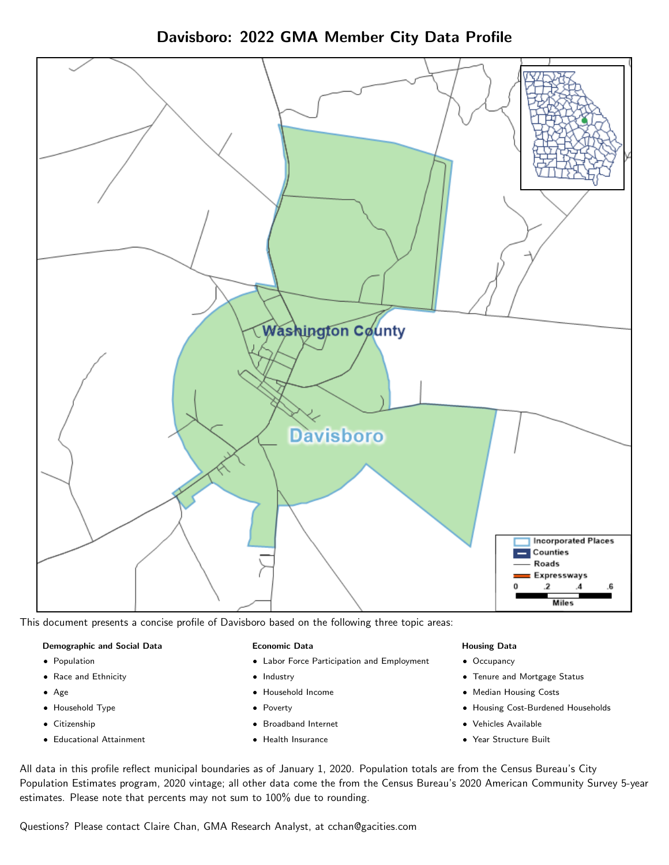Davisboro: 2022 GMA Member City Data Profile



This document presents a concise profile of Davisboro based on the following three topic areas:

## Demographic and Social Data

- **•** Population
- Race and Ethnicity
- Age
- Household Type
- **Citizenship**
- Educational Attainment

## Economic Data

- Labor Force Participation and Employment
- Industry
- Household Income
- Poverty
- Broadband Internet
- Health Insurance

## Housing Data

- Occupancy
- Tenure and Mortgage Status
- Median Housing Costs
- Housing Cost-Burdened Households
- Vehicles Available
- Year Structure Built

All data in this profile reflect municipal boundaries as of January 1, 2020. Population totals are from the Census Bureau's City Population Estimates program, 2020 vintage; all other data come the from the Census Bureau's 2020 American Community Survey 5-year estimates. Please note that percents may not sum to 100% due to rounding.

Questions? Please contact Claire Chan, GMA Research Analyst, at [cchan@gacities.com.](mailto:cchan@gacities.com)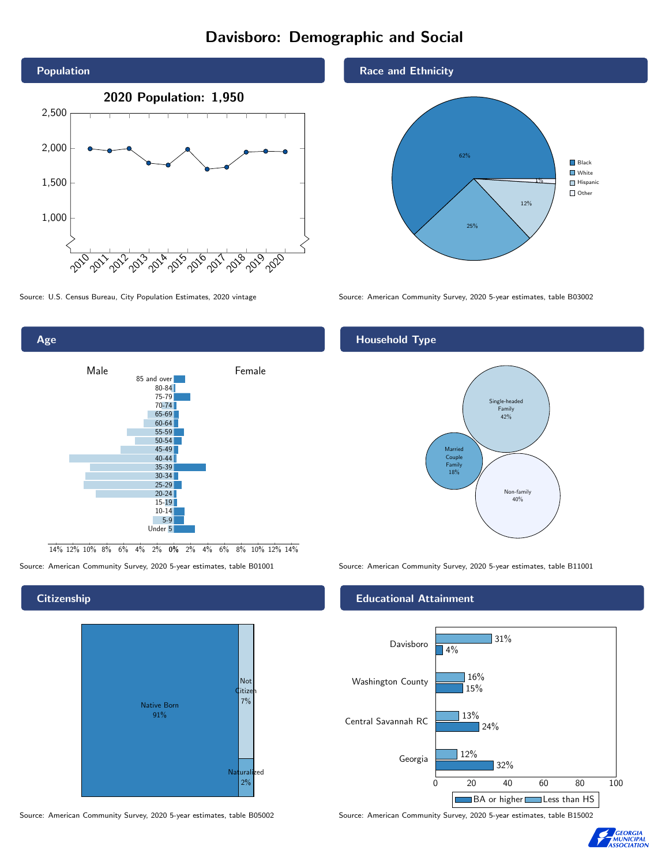# Davisboro: Demographic and Social





0% 2% 4% 6% 8% 10% 12% 14% 14% 12% 10% 8% 6% 4% 2%

## **Citizenship**



Source: American Community Survey, 2020 5-year estimates, table B05002 Source: American Community Survey, 2020 5-year estimates, table B15002

Race and Ethnicity



Source: U.S. Census Bureau, City Population Estimates, 2020 vintage Source: American Community Survey, 2020 5-year estimates, table B03002

## Household Type



Source: American Community Survey, 2020 5-year estimates, table B01001 Source: American Community Survey, 2020 5-year estimates, table B11001

## Educational Attainment



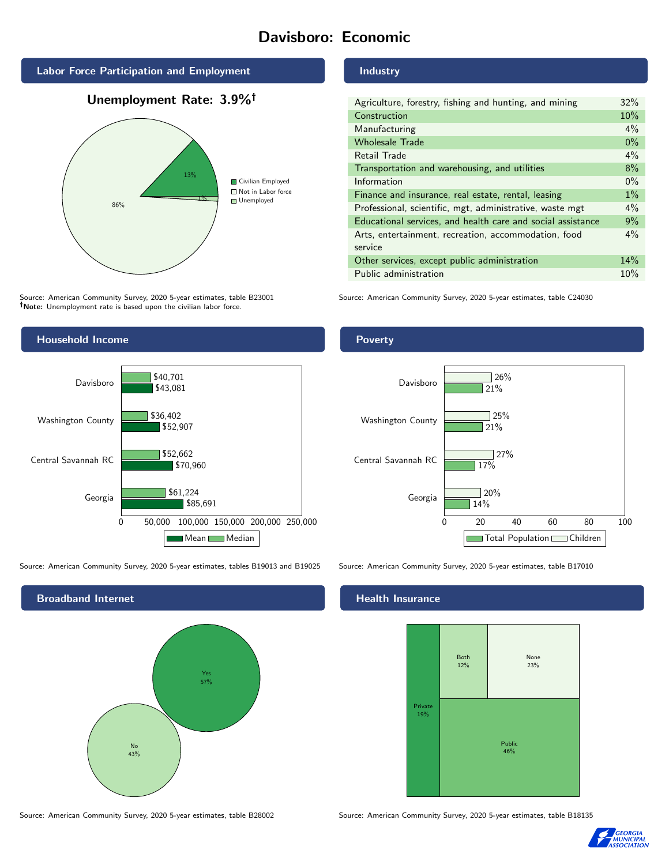# Davisboro: Economic

## Labor Force Participation and Employment

## Unemployment Rate: 3.9%



Source: American Community Survey, 2020 5-year estimates, table B23001 Note: Unemployment rate is based upon the civilian labor force.

## Industry

| Agriculture, forestry, fishing and hunting, and mining      | 32%   |
|-------------------------------------------------------------|-------|
| Construction                                                | 10%   |
| Manufacturing                                               | $4\%$ |
| <b>Wholesale Trade</b>                                      | $0\%$ |
| Retail Trade                                                | $4\%$ |
| Transportation and warehousing, and utilities               | 8%    |
| Information                                                 | $0\%$ |
| Finance and insurance, real estate, rental, leasing         | $1\%$ |
| Professional, scientific, mgt, administrative, waste mgt    | $4\%$ |
| Educational services, and health care and social assistance | 9%    |
| Arts, entertainment, recreation, accommodation, food        | $4\%$ |
| service                                                     |       |
| Other services, except public administration                | 14%   |
| Public administration                                       | 10%   |

Source: American Community Survey, 2020 5-year estimates, table C24030



Source: American Community Survey, 2020 5-year estimates, tables B19013 and B19025 Source: American Community Survey, 2020 5-year estimates, table B17010

Broadband Internet No 43% Yes 57%

Source: American Community Survey, 2020 5-year estimates, table B28002 Source: American Community Survey, 2020 5-year estimates, table B18135

## Poverty



## **Health Insurance**